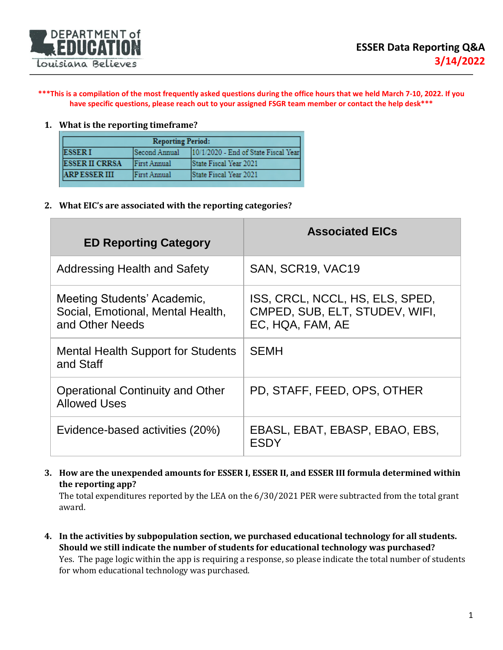

**\*\*\*This is a compilation of the most frequently asked questions during the office hours that we held March 7-10, 2022. If you have specific questions, please reach out to your assigned FSGR team member or contact the help desk\*\*\***

## **1. What is the reporting timeframe?**

| <b>Reporting Period:</b> |               |                                      |
|--------------------------|---------------|--------------------------------------|
| <b>ESSERI</b>            | Second Annual | 10/1/2020 - End of State Fiscal Year |
| <b>ESSER II CRRSA</b>    | First Annual  | State Fiscal Year 2021               |
| <b>ARPESSERIII</b>       | First Annual  | State Fiscal Year 2021               |

**2. What EIC's are associated with the reporting categories?**

| <b>ED Reporting Category</b>                                                        | <b>Associated EICs</b>                                                                |
|-------------------------------------------------------------------------------------|---------------------------------------------------------------------------------------|
| <b>Addressing Health and Safety</b>                                                 | SAN, SCR19, VAC19                                                                     |
| Meeting Students' Academic,<br>Social, Emotional, Mental Health,<br>and Other Needs | ISS, CRCL, NCCL, HS, ELS, SPED,<br>CMPED, SUB, ELT, STUDEV, WIFI,<br>EC, HQA, FAM, AE |
| <b>Mental Health Support for Students</b><br>and Staff                              | <b>SEMH</b>                                                                           |
| <b>Operational Continuity and Other</b><br><b>Allowed Uses</b>                      | PD, STAFF, FEED, OPS, OTHER                                                           |
| Evidence-based activities (20%)                                                     | EBASL, EBAT, EBASP, EBAO, EBS,<br><b>ESDY</b>                                         |

## **3. How are the unexpended amounts for ESSER I, ESSER II, and ESSER III formula determined within the reporting app?**

The total expenditures reported by the LEA on the 6/30/2021 PER were subtracted from the total grant award.

**4. In the activities by subpopulation section, we purchased educational technology for all students. Should we still indicate the number of students for educational technology was purchased?** Yes. The page logic within the app is requiring a response, so please indicate the total number of students for whom educational technology was purchased.